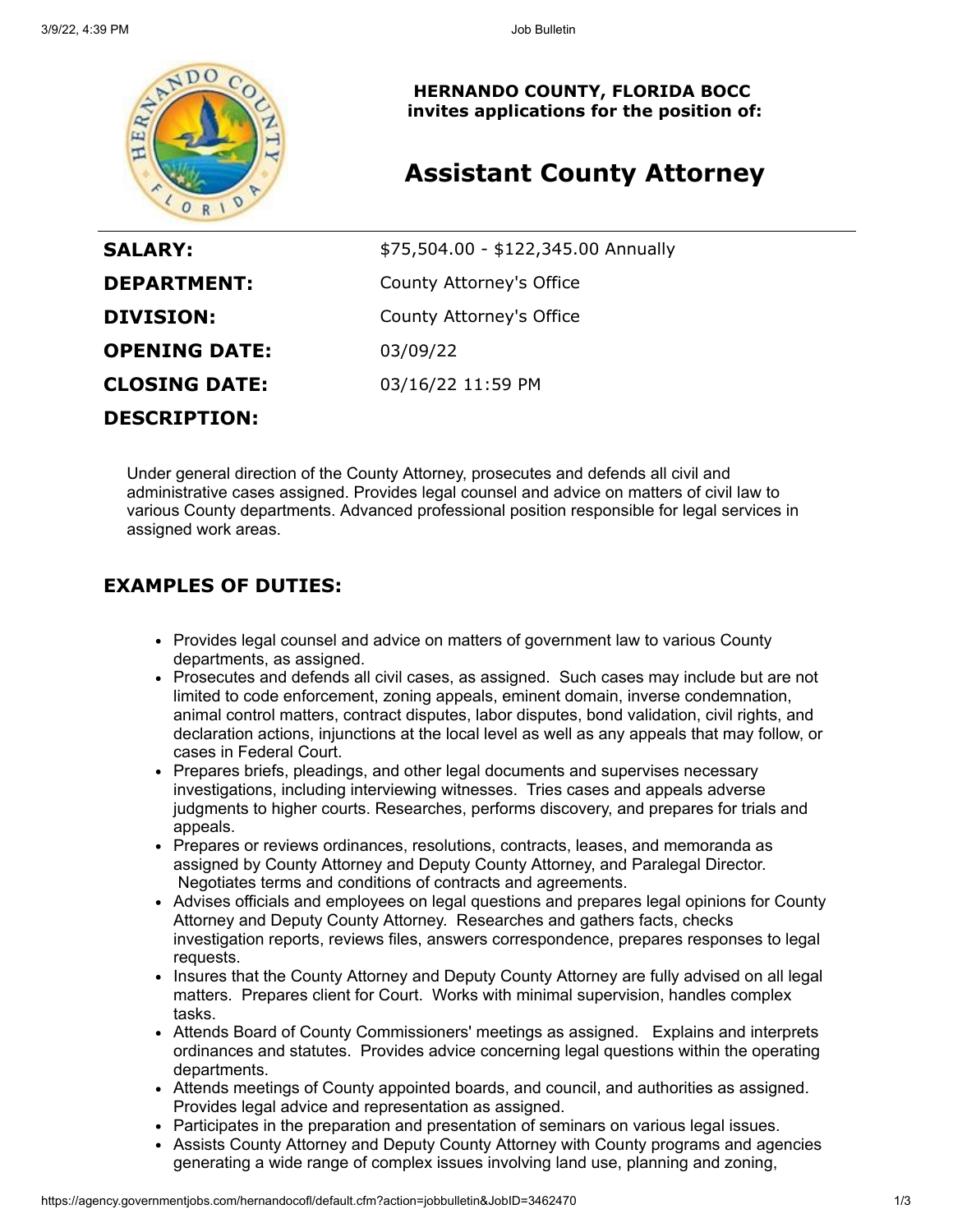

**HERNANDO COUNTY, FLORIDA BOCC invites applications for the position of:**

# **Assistant County Attorney**

| <b>SALARY:</b>       | \$75,504.00 - \$122,345.00 Annually |
|----------------------|-------------------------------------|
| <b>DEPARTMENT:</b>   | County Attorney's Office            |
| DIVISION:            | County Attorney's Office            |
| <b>OPENING DATE:</b> | 03/09/22                            |
| <b>CLOSING DATE:</b> | 03/16/22 11:59 PM                   |
| <b>DESCRIPTION:</b>  |                                     |

Under general direction of the County Attorney, prosecutes and defends all civil and administrative cases assigned. Provides legal counsel and advice on matters of civil law to various County departments. Advanced professional position responsible for legal services in assigned work areas.

### **EXAMPLES OF DUTIES:**

- Provides legal counsel and advice on matters of government law to various County departments, as assigned.
- Prosecutes and defends all civil cases, as assigned. Such cases may include but are not limited to code enforcement, zoning appeals, eminent domain, inverse condemnation, animal control matters, contract disputes, labor disputes, bond validation, civil rights, and declaration actions, injunctions at the local level as well as any appeals that may follow, or cases in Federal Court.
- Prepares briefs, pleadings, and other legal documents and supervises necessary investigations, including interviewing witnesses. Tries cases and appeals adverse judgments to higher courts. Researches, performs discovery, and prepares for trials and appeals.
- Prepares or reviews ordinances, resolutions, contracts, leases, and memoranda as assigned by County Attorney and Deputy County Attorney, and Paralegal Director. Negotiates terms and conditions of contracts and agreements.
- Advises officials and employees on legal questions and prepares legal opinions for County Attorney and Deputy County Attorney. Researches and gathers facts, checks investigation reports, reviews files, answers correspondence, prepares responses to legal requests.
- Insures that the County Attorney and Deputy County Attorney are fully advised on all legal matters. Prepares client for Court. Works with minimal supervision, handles complex tasks.
- Attends Board of County Commissioners' meetings as assigned. Explains and interprets ordinances and statutes. Provides advice concerning legal questions within the operating departments.
- Attends meetings of County appointed boards, and council, and authorities as assigned. Provides legal advice and representation as assigned.
- Participates in the preparation and presentation of seminars on various legal issues.
- Assists County Attorney and Deputy County Attorney with County programs and agencies generating a wide range of complex issues involving land use, planning and zoning,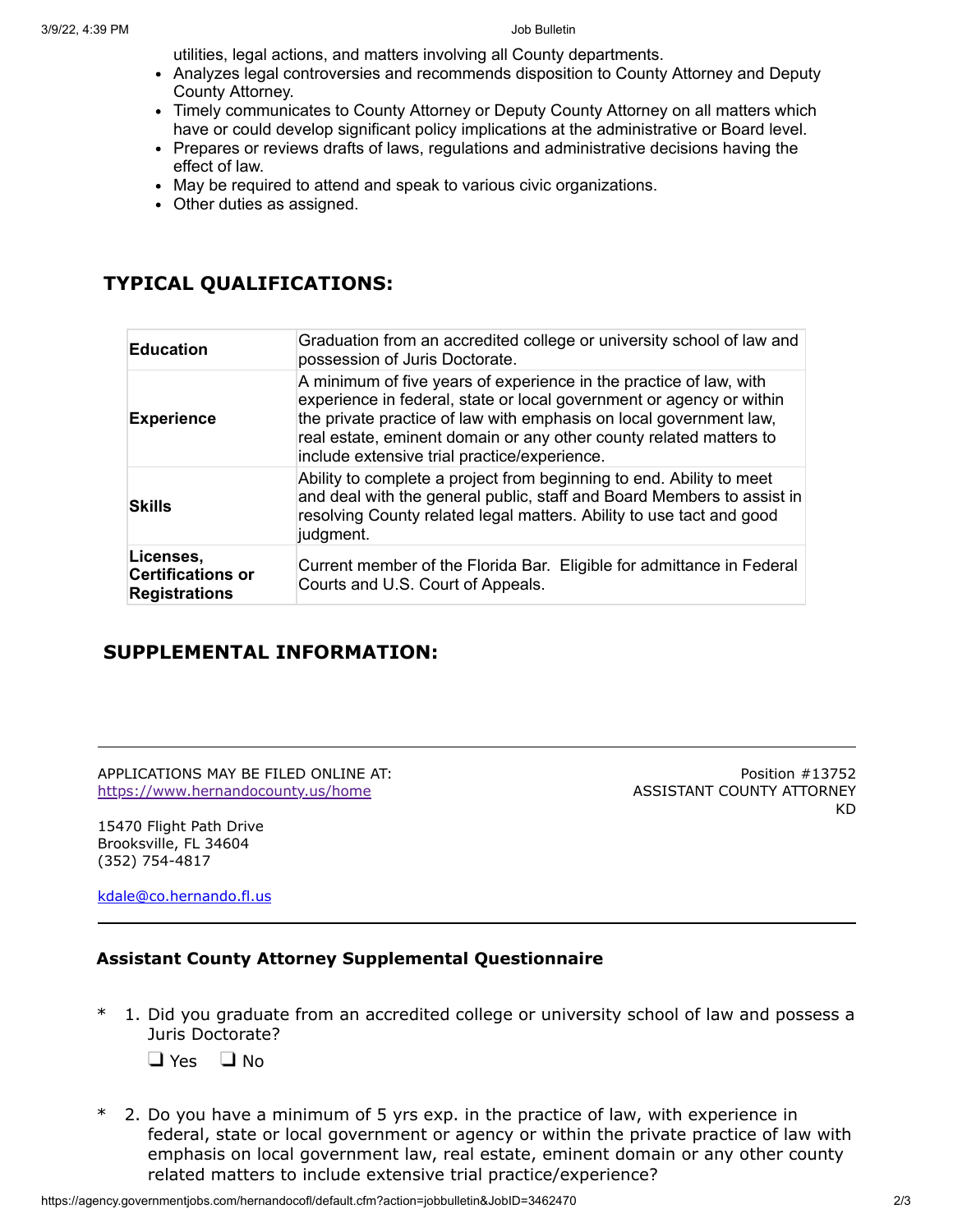utilities, legal actions, and matters involving all County departments.

- Analyzes legal controversies and recommends disposition to County Attorney and Deputy County Attorney.
- Timely communicates to County Attorney or Deputy County Attorney on all matters which have or could develop significant policy implications at the administrative or Board level.
- Prepares or reviews drafts of laws, regulations and administrative decisions having the effect of law.
- May be required to attend and speak to various civic organizations.
- Other duties as assigned.

## **TYPICAL QUALIFICATIONS:**

| <b>Education</b>                                              | Graduation from an accredited college or university school of law and<br>possession of Juris Doctorate.                                                                                                                                                                                                                                |
|---------------------------------------------------------------|----------------------------------------------------------------------------------------------------------------------------------------------------------------------------------------------------------------------------------------------------------------------------------------------------------------------------------------|
| <b>Experience</b>                                             | A minimum of five years of experience in the practice of law, with<br>experience in federal, state or local government or agency or within<br>the private practice of law with emphasis on local government law,<br>real estate, eminent domain or any other county related matters to<br>include extensive trial practice/experience. |
| <b>Skills</b>                                                 | Ability to complete a project from beginning to end. Ability to meet<br>and deal with the general public, staff and Board Members to assist in<br>resolving County related legal matters. Ability to use tact and good<br>judgment.                                                                                                    |
| Licenses,<br><b>Certifications or</b><br><b>Registrations</b> | Current member of the Florida Bar. Eligible for admittance in Federal<br>Courts and U.S. Court of Appeals.                                                                                                                                                                                                                             |

### **SUPPLEMENTAL INFORMATION:**

APPLICATIONS MAY BE FILED ONLINE AT: <https://www.hernandocounty.us/home>

15470 Flight Path Drive Brooksville, FL 34604 (352) 754-4817

[kdale@co.hernando.fl.us](mailto:kdale@co.hernando.fl.us)

#### **Assistant County Attorney Supplemental Questionnaire**

\* 1. Did you graduate from an accredited college or university school of law and possess a Juris Doctorate?

 $\Box$  Yes  $\Box$  No

2. Do you have a minimum of 5 yrs exp. in the practice of law, with experience in federal, state or local government or agency or within the private practice of law with emphasis on local government law, real estate, eminent domain or any other county related matters to include extensive trial practice/experience?

Position #13752

KD

ASSISTANT COUNTY ATTORNEY